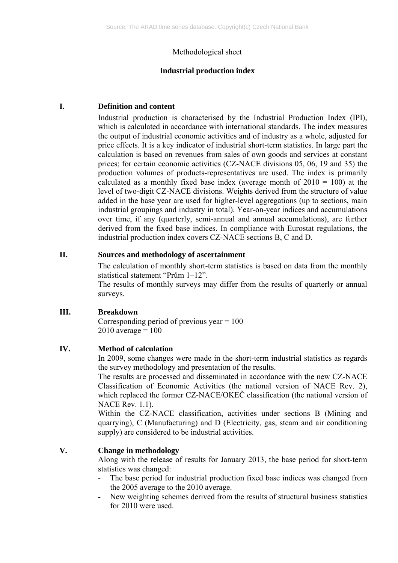# Methodological sheet

## **Industrial production index**

## **I. Definition and content**

Industrial production is characterised by the Industrial Production Index (IPI), which is calculated in accordance with international standards. The index measures the output of industrial economic activities and of industry as a whole, adjusted for price effects. It is a key indicator of industrial short-term statistics. In large part the calculation is based on revenues from sales of own goods and services at constant prices; for certain economic activities (CZ-NACE divisions 05, 06, 19 and 35) the production volumes of products-representatives are used. The index is primarily calculated as a monthly fixed base index (average month of  $2010 = 100$ ) at the level of two-digit CZ-NACE divisions. Weights derived from the structure of value added in the base year are used for higher-level aggregations (up to sections, main industrial groupings and industry in total). Year-on-year indices and accumulations over time, if any (quarterly, semi-annual and annual accumulations), are further derived from the fixed base indices. In compliance with Eurostat regulations, the industrial production index covers CZ-NACE sections B, C and D.

# **II. Sources and methodology of ascertainment**

The calculation of monthly short-term statistics is based on data from the monthly statistical statement "Prům 1–12".

The results of monthly surveys may differ from the results of quarterly or annual surveys.

#### **III. Breakdown**

Corresponding period of previous year  $= 100$  $2010$  average =  $100$ 

# **IV. Method of calculation**

In 2009, some changes were made in the short-term industrial statistics as regards the survey methodology and presentation of the results.

The results are processed and disseminated in accordance with the new CZ-NACE Classification of Economic Activities (the national version of NACE Rev. 2), which replaced the former CZ-NACE/OKEČ classification (the national version of NACE Rev. 1.1).

Within the CZ-NACE classification, activities under sections B (Mining and quarrying), C (Manufacturing) and D (Electricity, gas, steam and air conditioning supply) are considered to be industrial activities.

# **V. Change in methodology**

Along with the release of results for January 2013, the base period for short-term statistics was changed:

- The base period for industrial production fixed base indices was changed from the 2005 average to the 2010 average.
- New weighting schemes derived from the results of structural business statistics for 2010 were used.